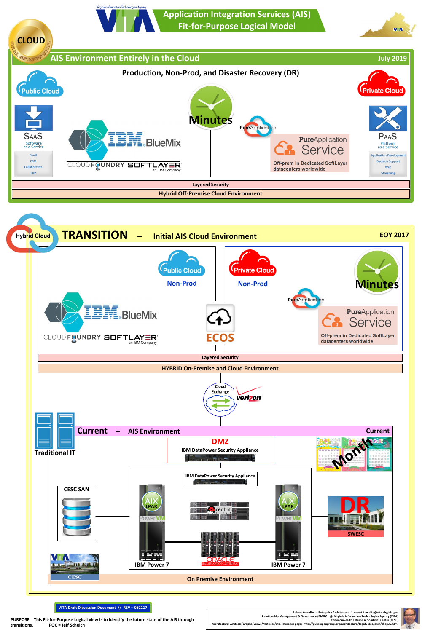Relationship Management & Governance (RM&G) @ Virginia Information Technologies Agency (VITA<br>Commonwealth Enterprise Solutions Center (CESC<br>Architectural Artifacts/Graphs/Views/Matrices/etc. reference page: http://pubs.ope **transitions. POC = Jeff Scheich**

**Robert Kowalke ~ Enterprise Architecture ~ robert.kowalke@vita.virginia.gov** Relationship Management & Governance (RM&G) @ Virginia Information Technologies Agency (VITA)<br>Commonwealth Enterprise Solutions Center (CESC)



**Application Integration Services (AIS) Fit-for-Purpose Logical Model**



**VITA Draft Discussion Document // REV – 062117**

**Virginia Infor** 

mation Technologies Age



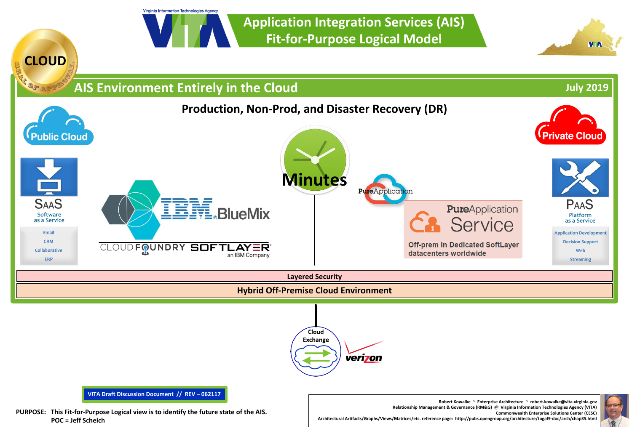Virginia Information Technologies Agency

**Application Integration Services (AIS) Fit-for-Purpose Logical Model**





**Commonwealth Enterprise Solutions Center (CESC)**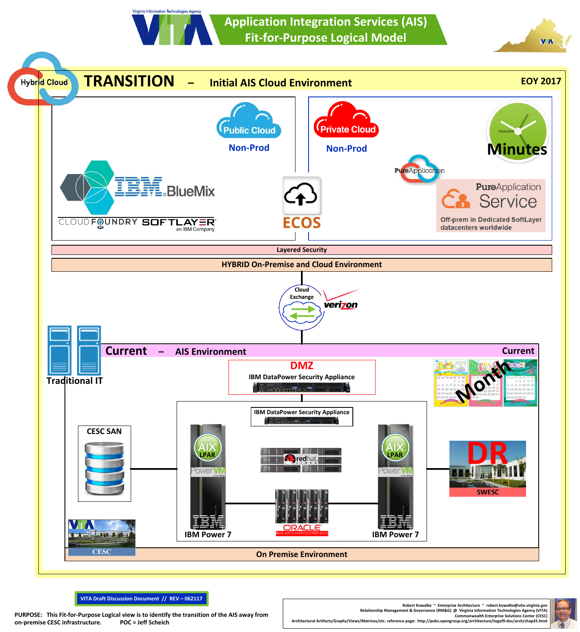**Application Integration Services (AIS) Fit-for-Purpose Logical Model**



**VITA Draft Discussion Document // REV – 062117**

DURPOSE: This Fit-for-Purpose Logical view is to identify the transition of the AIS away from<br>On premise CESC infrastructure. POC = Jeff Scheich (CES enter (CES and a proposition state of the AIS away from a proposition of

Virginia Information Technologies Agen

**Robert Kowalke ~ Enterprise Architecture ~ robert.kowalke@vita.virginia.gov** Relationship Management & Governance (RM&G) @ Virginia Information Technologies Agency (VITA)<br>Commonwealth Enterprise Solutions Center (CESC)